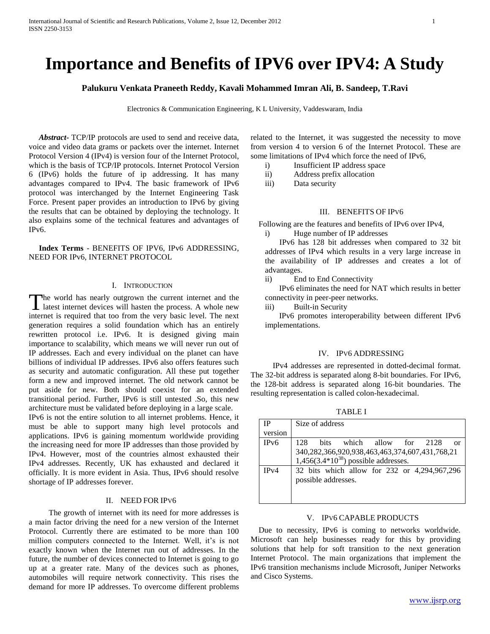# **Importance and Benefits of IPV6 over IPV4: A Study**

**Palukuru Venkata Praneeth Reddy, Kavali Mohammed Imran Ali, B. Sandeep, T.Ravi**

Electronics & Communication Engineering, K L University, Vaddeswaram, India

 *Abstract***-** TCP/IP protocols are used to send and receive data, voice and video data grams or packets over the internet. Internet Protocol Version 4 (IPv4) is version four of the Internet Protocol, which is the basis of TCP/IP protocols. Internet Protocol Version 6 (IPv6) holds the future of ip addressing. It has many advantages compared to IPv4. The basic framework of IPv6 protocol was interchanged by the Internet Engineering Task Force. Present paper provides an introduction to IPv6 by giving the results that can be obtained by deploying the technology. It also explains some of the technical features and advantages of IPv6.

 **Index Terms** - BENEFITS OF IPV6, IPv6 ADDRESSING, NEED FOR IPv6, INTERNET PROTOCOL

## I. INTRODUCTION

he world has nearly outgrown the current internet and the The world has nearly outgrown the current internet and the latest internet devices will hasten the process. A whole new internet is required that too from the very basic level. The next generation requires a solid foundation which has an entirely rewritten protocol i.e. IPv6. It is designed giving main importance to scalability, which means we will never run out of IP addresses. Each and every individual on the planet can have billions of individual IP addresses. IPv6 also offers features such as security and automatic configuration. All these put together form a new and improved internet. The old network cannot be put aside for new. Both should coexist for an extended transitional period. Further, IPv6 is still untested .So, this new architecture must be validated before deploying in a large scale.

IPv6 is not the entire solution to all internet problems. Hence, it must be able to support many high level protocols and applications. IPv6 is gaining momentum worldwide providing the increasing need for more IP addresses than those provided by IPv4. However, most of the countries almost exhausted their IPv4 addresses. Recently, UK has exhausted and declared it officially. It is more evident in Asia. Thus, IPv6 should resolve shortage of IP addresses forever.

## II. NEED FOR IPV6

 The growth of internet with its need for more addresses is a main factor driving the need for a new version of the Internet Protocol. Currently there are estimated to be more than 100 million computers connected to the Internet. Well, it's is not exactly known when the Internet run out of addresses. In the future, the number of devices connected to Internet is going to go up at a greater rate. Many of the devices such as phones, automobiles will require network connectivity. This rises the demand for more IP addresses. To overcome different problems related to the Internet, it was suggested the necessity to move from version 4 to version 6 of the Internet Protocol. These are some limitations of IPv4 which force the need of IPv6,

- i) Insufficient IP address space
- ii) Address prefix allocation
- iii) Data security

# III. BENEFITS OF IPV6

Following are the features and benefits of IPv6 over IPv4,

i) Huge number of IP addresses

IPv6 has 128 bit addresses when compared to 32 bit addresses of IPv4 which results in a very large increase in the availability of IP addresses and creates a lot of advantages.

ii) End to End Connectivity

 IPv6 eliminates the need for NAT which results in better connectivity in peer-peer networks.

iii) Built-in Security

 IPv6 promotes interoperability between different IPv6 implementations.

## IV. IPV6 ADDRESSING

 IPv4 addresses are represented in dotted-decimal format. The 32-bit address is separated along 8-bit boundaries. For IPv6, the 128-bit address is separated along 16-bit boundaries. The resulting representation is called colon-hexadecimal.

TABLE I

| IΡ                | Size of address                                                |
|-------------------|----------------------------------------------------------------|
| version           |                                                                |
| IP <sub>v</sub> 6 | 128<br><b>bits</b><br>which allow<br>for<br>2128<br>$\alpha$ r |
|                   | 340,282,366,920,938,463,463,374,607,431,768,21                 |
|                   | $1,456(3.4*10^{38})$ possible addresses.                       |
| IPv4              | 32 bits which allow for 232 or 4,294,967,296                   |
|                   | possible addresses.                                            |
|                   |                                                                |
|                   |                                                                |

#### V. IPV6 CAPABLE PRODUCTS

 Due to necessity, IPv6 is coming to networks worldwide. Microsoft can help businesses ready for this by providing solutions that help for soft transition to the next generation Internet Protocol. The main organizations that implement the IPv6 transition mechanisms include Microsoft, Juniper Networks and Cisco Systems.